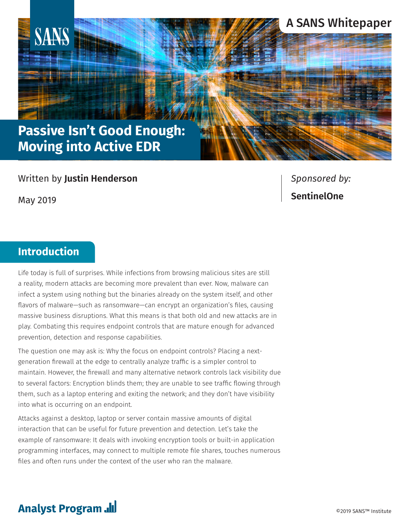

# **Moving into Active EDR**

#### Written by **Justin Henderson**

May 2019

*Sponsored by:* **SentinelOne**

### **Introduction**

Life today is full of surprises. While infections from browsing malicious sites are still a reality, modern attacks are becoming more prevalent than ever. Now, malware can infect a system using nothing but the binaries already on the system itself, and other flavors of malware—such as ransomware—can encrypt an organization's files, causing massive business disruptions. What this means is that both old and new attacks are in play. Combating this requires endpoint controls that are mature enough for advanced prevention, detection and response capabilities.

The question one may ask is: Why the focus on endpoint controls? Placing a nextgeneration firewall at the edge to centrally analyze traffic is a simpler control to maintain. However, the firewall and many alternative network controls lack visibility due to several factors: Encryption blinds them; they are unable to see traffic flowing through them, such as a laptop entering and exiting the network; and they don't have visibility into what is occurring on an endpoint.

Attacks against a desktop, laptop or server contain massive amounts of digital interaction that can be useful for future prevention and detection. Let's take the example of ransomware: It deals with invoking encryption tools or built-in application programming interfaces, may connect to multiple remote file shares, touches numerous files and often runs under the context of the user who ran the malware.

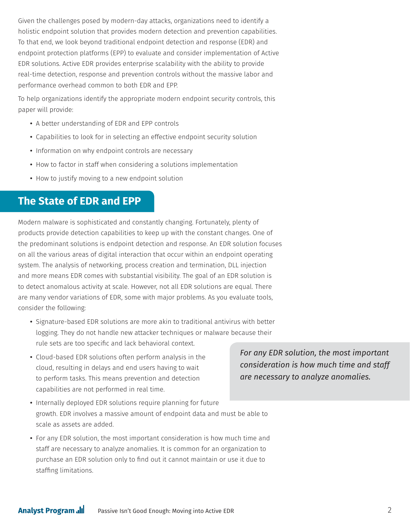Given the challenges posed by modern-day attacks, organizations need to identify a holistic endpoint solution that provides modern detection and prevention capabilities. To that end, we look beyond traditional endpoint detection and response (EDR) and endpoint protection platforms (EPP) to evaluate and consider implementation of Active EDR solutions. Active EDR provides enterprise scalability with the ability to provide real-time detection, response and prevention controls without the massive labor and performance overhead common to both EDR and EPP.

To help organizations identify the appropriate modern endpoint security controls, this paper will provide:

- A better understanding of EDR and EPP controls
- Capabilities to look for in selecting an effective endpoint security solution
- Information on why endpoint controls are necessary
- How to factor in staff when considering a solutions implementation
- How to justify moving to a new endpoint solution

#### **The State of EDR and EPP**

Modern malware is sophisticated and constantly changing. Fortunately, plenty of products provide detection capabilities to keep up with the constant changes. One of the predominant solutions is endpoint detection and response. An EDR solution focuses on all the various areas of digital interaction that occur within an endpoint operating system. The analysis of networking, process creation and termination, DLL injection and more means EDR comes with substantial visibility. The goal of an EDR solution is to detect anomalous activity at scale. However, not all EDR solutions are equal. There are many vendor variations of EDR, some with major problems. As you evaluate tools, consider the following:

- Signature-based EDR solutions are more akin to traditional antivirus with better logging. They do not handle new attacker techniques or malware because their rule sets are too specific and lack behavioral context.
- Cloud-based EDR solutions often perform analysis in the cloud, resulting in delays and end users having to wait to perform tasks. This means prevention and detection capabilities are not performed in real time.

*For any EDR solution, the most important consideration is how much time and staff are necessary to analyze anomalies.*

- Internally deployed EDR solutions require planning for future growth. EDR involves a massive amount of endpoint data and must be able to scale as assets are added.
- For any EDR solution, the most important consideration is how much time and staff are necessary to analyze anomalies. It is common for an organization to purchase an EDR solution only to find out it cannot maintain or use it due to staffing limitations.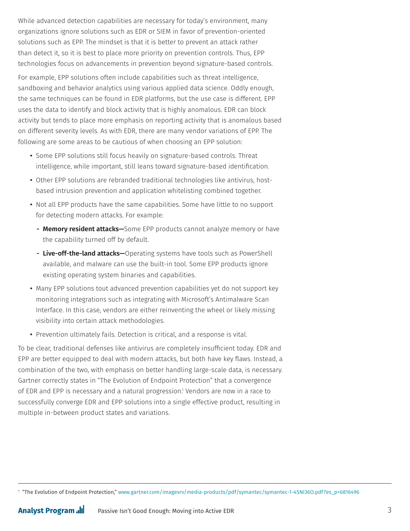While advanced detection capabilities are necessary for today's environment, many organizations ignore solutions such as EDR or SIEM in favor of prevention-oriented solutions such as EPP. The mindset is that it is better to prevent an attack rather than detect it, so it is best to place more priority on prevention controls. Thus, EPP technologies focus on advancements in prevention beyond signature-based controls.

For example, EPP solutions often include capabilities such as threat intelligence, sandboxing and behavior analytics using various applied data science. Oddly enough, the same techniques can be found in EDR platforms, but the use case is different. EPP uses the data to identify and block activity that is highly anomalous. EDR can block activity but tends to place more emphasis on reporting activity that is anomalous based on different severity levels. As with EDR, there are many vendor variations of EPP. The following are some areas to be cautious of when choosing an EPP solution:

- Some EPP solutions still focus heavily on signature-based controls. Threat intelligence, while important, still leans toward signature-based identification.
- Other EPP solutions are rebranded traditional technologies like antivirus, hostbased intrusion prevention and application whitelisting combined together.
- Not all EPP products have the same capabilities. Some have little to no support for detecting modern attacks. For example:
	- **Memory resident attacks—**Some EPP products cannot analyze memory or have the capability turned off by default.
	- **Live-off-the-land attacks—**Operating systems have tools such as PowerShell available, and malware can use the built-in tool. Some EPP products ignore existing operating system binaries and capabilities.
- Many EPP solutions tout advanced prevention capabilities yet do not support key monitoring integrations such as integrating with Microsoft's Antimalware Scan Interface. In this case, vendors are either reinventing the wheel or likely missing visibility into certain attack methodologies.
- Prevention ultimately fails. Detection is critical, and a response is vital.

To be clear, traditional defenses like antivirus are completely insufficient today. EDR and EPP are better equipped to deal with modern attacks, but both have key flaws. Instead, a combination of the two, with emphasis on better handling large-scale data, is necessary. Gartner correctly states in "The Evolution of Endpoint Protection" that a convergence of EDR and EPP is necessary and a natural progression.1 Vendors are now in a race to successfully converge EDR and EPP solutions into a single effective product, resulting in multiple in-between product states and variations.

<sup>1</sup> "The Evolution of Endpoint Protectio[n," www.gartner.com/imagesrv/media-products/pdf/symantec/symantec-1-4SNI36O.pdf?es\\_p=6816496](https://www.gartner.com/imagesrv/media-products/pdf/symantec/symantec-1-4SNI36O.pdf?es_p=6816496)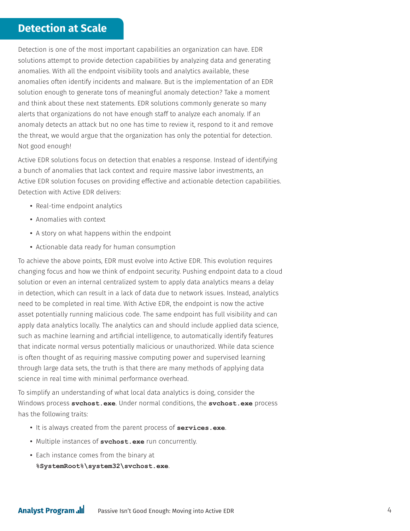### **Detection at Scale**

Detection is one of the most important capabilities an organization can have. EDR solutions attempt to provide detection capabilities by analyzing data and generating anomalies. With all the endpoint visibility tools and analytics available, these anomalies often identify incidents and malware. But is the implementation of an EDR solution enough to generate tons of meaningful anomaly detection? Take a moment and think about these next statements. EDR solutions commonly generate so many alerts that organizations do not have enough staff to analyze each anomaly. If an anomaly detects an attack but no one has time to review it, respond to it and remove the threat, we would argue that the organization has only the potential for detection. Not good enough!

Active EDR solutions focus on detection that enables a response. Instead of identifying a bunch of anomalies that lack context and require massive labor investments, an Active EDR solution focuses on providing effective and actionable detection capabilities. Detection with Active EDR delivers:

- Real-time endpoint analytics
- Anomalies with context
- A story on what happens within the endpoint
- Actionable data ready for human consumption

To achieve the above points, EDR must evolve into Active EDR. This evolution requires changing focus and how we think of endpoint security. Pushing endpoint data to a cloud solution or even an internal centralized system to apply data analytics means a delay in detection, which can result in a lack of data due to network issues. Instead, analytics need to be completed in real time. With Active EDR, the endpoint is now the active asset potentially running malicious code. The same endpoint has full visibility and can apply data analytics locally. The analytics can and should include applied data science, such as machine learning and artificial intelligence, to automatically identify features that indicate normal versus potentially malicious or unauthorized. While data science is often thought of as requiring massive computing power and supervised learning through large data sets, the truth is that there are many methods of applying data science in real time with minimal performance overhead.

To simplify an understanding of what local data analytics is doing, consider the Windows process **svchost.exe**. Under normal conditions, the **svchost.exe** process has the following traits:

- It is always created from the parent process of **services.exe**.
- Multiple instances of **svchost.exe** run concurrently.
- Each instance comes from the binary at **%SystemRoot%\system32\svchost.exe**.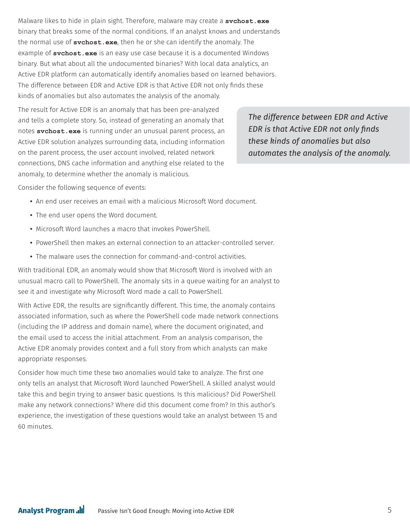Malware likes to hide in plain sight. Therefore, malware may create a **svchost.exe** binary that breaks some of the normal conditions. If an analyst knows and understands the normal use of **svchost.exe**, then he or she can identify the anomaly. The example of **svchost.exe** is an easy use case because it is a documented Windows binary. But what about all the undocumented binaries? With local data analytics, an Active EDR platform can automatically identify anomalies based on learned behaviors. The difference between EDR and Active EDR is that Active EDR not only finds these kinds of anomalies but also automates the analysis of the anomaly.

The result for Active EDR is an anomaly that has been pre-analyzed and tells a complete story. So, instead of generating an anomaly that notes **svchost.exe** is running under an unusual parent process, an Active EDR solution analyzes surrounding data, including information on the parent process, the user account involved, related network connections, DNS cache information and anything else related to the anomaly, to determine whether the anomaly is malicious.

*The difference between EDR and Active EDR is that Active EDR not only finds these kinds of anomalies but also automates the analysis of the anomaly.*

Consider the following sequence of events:

- An end user receives an email with a malicious Microsoft Word document.
- The end user opens the Word document.
- Microsoft Word launches a macro that invokes PowerShell.
- PowerShell then makes an external connection to an attacker-controlled server.
- The malware uses the connection for command-and-control activities.

With traditional EDR, an anomaly would show that Microsoft Word is involved with an unusual macro call to PowerShell. The anomaly sits in a queue waiting for an analyst to see it and investigate why Microsoft Word made a call to PowerShell.

With Active EDR, the results are significantly different. This time, the anomaly contains associated information, such as where the PowerShell code made network connections (including the IP address and domain name), where the document originated, and the email used to access the initial attachment. From an analysis comparison, the Active EDR anomaly provides context and a full story from which analysts can make appropriate responses.

Consider how much time these two anomalies would take to analyze. The first one only tells an analyst that Microsoft Word launched PowerShell. A skilled analyst would take this and begin trying to answer basic questions. Is this malicious? Did PowerShell make any network connections? Where did this document come from? In this author's experience, the investigation of these questions would take an analyst between 15 and 60 minutes.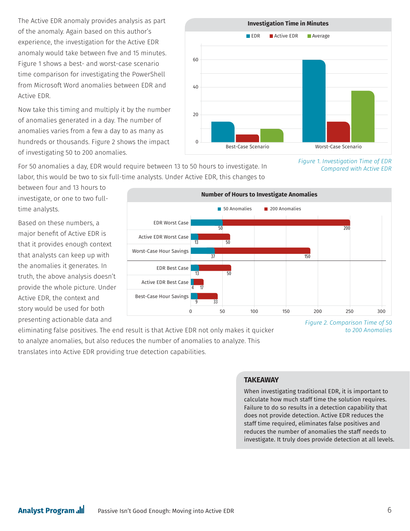The Active EDR anomaly provides analysis as part of the anomaly. Again based on this author's experience, the investigation for the Active EDR anomaly would take between five and 15 minutes. Figure 1 shows a best- and worst-case scenario time comparison for investigating the PowerShell from Microsoft Word anomalies between EDR and Active EDR.

Now take this timing and multiply it by the number of anomalies generated in a day. The number of anomalies varies from a few a day to as many as hundreds or thousands. Figure 2 shows the impact of investigating 50 to 200 anomalies.

**Investigation Time in Minutes** 60 40 20  $\Omega$ **EDR Active EDR Average** Best-Case Scenario Worst-Case Scenario

For 50 anomalies a day, EDR would require between 13 to 50 hours to investigate. In labor, this would be two to six full-time analysts. Under Active EDR, this changes to

between four and 13 hours to investigate, or one to two fulltime analysts.

Based on these numbers, a major benefit of Active EDR is that it provides enough context that analysts can keep up with the anomalies it generates. In truth, the above analysis doesn't provide the whole picture. Under Active EDR, the context and story would be used for both presenting actionable data and



eliminating false positives. The end result is that Active EDR not only makes it quicker to analyze anomalies, but also reduces the number of anomalies to analyze. This translates into Active EDR providing true detection capabilities.

*Figure 2. Comparison Time of 50 to 200 Anomalies*

*Figure 1. Investigation Time of EDR* 

*Compared with Active EDR*

#### **TAKEAWAY**

When investigating traditional EDR, it is important to calculate how much staff time the solution requires. Failure to do so results in a detection capability that does not provide detection. Active EDR reduces the staff time required, eliminates false positives and reduces the number of anomalies the staff needs to investigate. It truly does provide detection at all levels.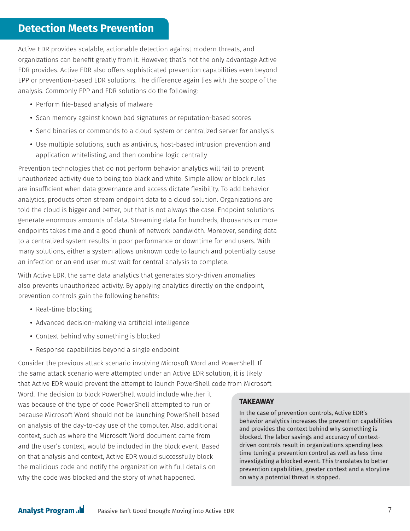#### **Detection Meets Prevention**

Active EDR provides scalable, actionable detection against modern threats, and organizations can benefit greatly from it. However, that's not the only advantage Active EDR provides. Active EDR also offers sophisticated prevention capabilities even beyond EPP or prevention-based EDR solutions. The difference again lies with the scope of the analysis. Commonly EPP and EDR solutions do the following:

- Perform file-based analysis of malware
- Scan memory against known bad signatures or reputation-based scores
- Send binaries or commands to a cloud system or centralized server for analysis
- Use multiple solutions, such as antivirus, host-based intrusion prevention and application whitelisting, and then combine logic centrally

Prevention technologies that do not perform behavior analytics will fail to prevent unauthorized activity due to being too black and white. Simple allow or block rules are insufficient when data governance and access dictate flexibility. To add behavior analytics, products often stream endpoint data to a cloud solution. Organizations are told the cloud is bigger and better, but that is not always the case. Endpoint solutions generate enormous amounts of data. Streaming data for hundreds, thousands or more endpoints takes time and a good chunk of network bandwidth. Moreover, sending data to a centralized system results in poor performance or downtime for end users. With many solutions, either a system allows unknown code to launch and potentially cause an infection or an end user must wait for central analysis to complete.

With Active EDR, the same data analytics that generates story-driven anomalies also prevents unauthorized activity. By applying analytics directly on the endpoint, prevention controls gain the following benefits:

- Real-time blocking
- Advanced decision-making via artificial intelligence
- Context behind why something is blocked
- Response capabilities beyond a single endpoint

Consider the previous attack scenario involving Microsoft Word and PowerShell. If the same attack scenario were attempted under an Active EDR solution, it is likely that Active EDR would prevent the attempt to launch PowerShell code from Microsoft

Word. The decision to block PowerShell would include whether it was because of the type of code PowerShell attempted to run or because Microsoft Word should not be launching PowerShell based on analysis of the day-to-day use of the computer. Also, additional context, such as where the Microsoft Word document came from and the user's context, would be included in the block event. Based on that analysis and context, Active EDR would successfully block the malicious code and notify the organization with full details on why the code was blocked and the story of what happened.

#### **TAKEAWAY**

In the case of prevention controls, Active EDR's behavior analytics increases the prevention capabilities and provides the context behind why something is blocked. The labor savings and accuracy of contextdriven controls result in organizations spending less time tuning a prevention control as well as less time investigating a blocked event. This translates to better prevention capabilities, greater context and a storyline on why a potential threat is stopped.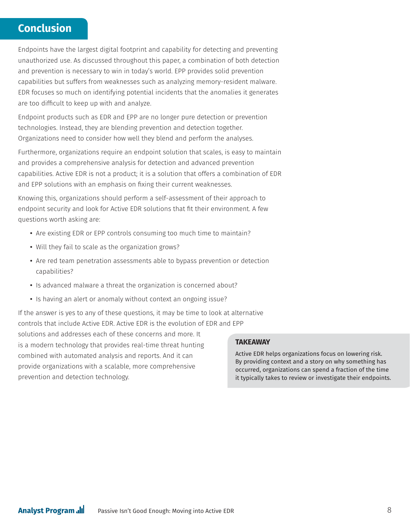### **Conclusion**

Endpoints have the largest digital footprint and capability for detecting and preventing unauthorized use. As discussed throughout this paper, a combination of both detection and prevention is necessary to win in today's world. EPP provides solid prevention capabilities but suffers from weaknesses such as analyzing memory-resident malware. EDR focuses so much on identifying potential incidents that the anomalies it generates are too difficult to keep up with and analyze.

Endpoint products such as EDR and EPP are no longer pure detection or prevention technologies. Instead, they are blending prevention and detection together. Organizations need to consider how well they blend and perform the analyses.

Furthermore, organizations require an endpoint solution that scales, is easy to maintain and provides a comprehensive analysis for detection and advanced prevention capabilities. Active EDR is not a product; it is a solution that offers a combination of EDR and EPP solutions with an emphasis on fixing their current weaknesses.

Knowing this, organizations should perform a self-assessment of their approach to endpoint security and look for Active EDR solutions that fit their environment. A few questions worth asking are:

- Are existing EDR or EPP controls consuming too much time to maintain?
- Will they fail to scale as the organization grows?
- Are red team penetration assessments able to bypass prevention or detection capabilities?
- Is advanced malware a threat the organization is concerned about?
- Is having an alert or anomaly without context an ongoing issue?

If the answer is yes to any of these questions, it may be time to look at alternative controls that include Active EDR. Active EDR is the evolution of EDR and EPP solutions and addresses each of these concerns and more. It is a modern technology that provides real-time threat hunting combined with automated analysis and reports. And it can provide organizations with a scalable, more comprehensive prevention and detection technology.

#### **TAKEAWAY**

Active EDR helps organizations focus on lowering risk. By providing context and a story on why something has occurred, organizations can spend a fraction of the time it typically takes to review or investigate their endpoints.